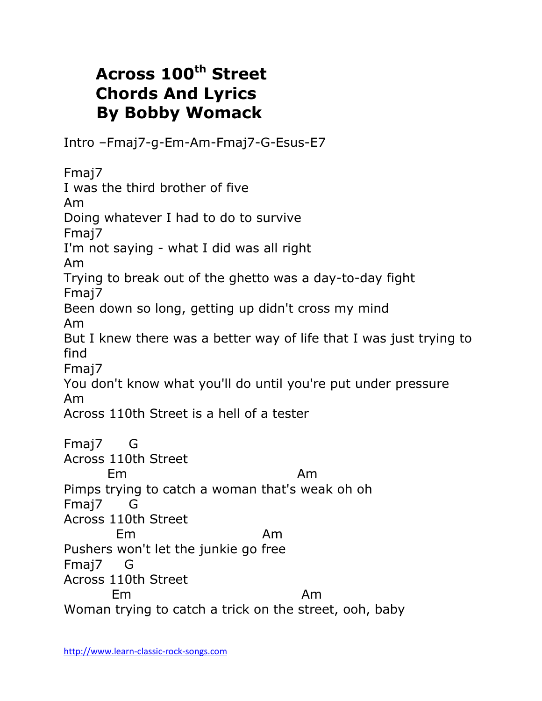## **Across 100th Street Chords And Lyrics By Bobby Womack**

Intro –Fmaj7-g-Em-Am-Fmaj7-G-Esus-E7

Fmaj7 I was the third brother of five Am Doing whatever I had to do to survive Fmaj7 I'm not saying - what I did was all right Am Trying to break out of the ghetto was a day-to-day fight Fmaj7 Been down so long, getting up didn't cross my mind Am But I knew there was a better way of life that I was just trying to find Fmaj7 You don't know what you'll do until you're put under pressure Am Across 110th Street is a hell of a tester Fmaj7 G Across 110th Street Em Am Pimps trying to catch a woman that's weak oh oh Fmaj7 G Across 110th Street Em Am Pushers won't let the junkie go free Fmaj7 G Across 110th Street Em Am Woman trying to catch a trick on the street, ooh, baby